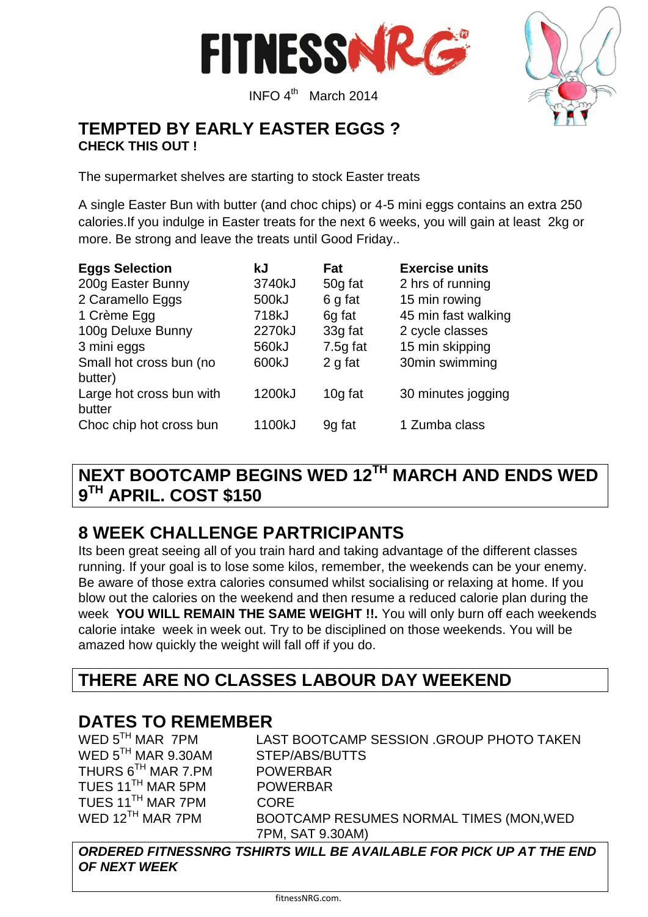

INFO 4<sup>th</sup> March 2014



### **TEMPTED BY EARLY EASTER EGGS ? CHECK THIS OUT !**

The supermarket shelves are starting to stock Easter treats

A single Easter Bun with butter (and choc chips) or 4-5 mini eggs contains an extra 250 calories.If you indulge in Easter treats for the next 6 weeks, you will gain at least 2kg or more. Be strong and leave the treats until Good Friday..

| <b>Eggs Selection</b>    | kJ     | Fat        | <b>Exercise units</b> |
|--------------------------|--------|------------|-----------------------|
| 200g Easter Bunny        | 3740kJ | 50g fat    | 2 hrs of running      |
| 2 Caramello Eggs         | 500kJ  | 6 g fat    | 15 min rowing         |
| 1 Crème Egg              | 718kJ  | 6g fat     | 45 min fast walking   |
| 100g Deluxe Bunny        | 2270kJ | 33g fat    | 2 cycle classes       |
| 3 mini eggs              | 560kJ  | $7.5g$ fat | 15 min skipping       |
| Small hot cross bun (no  | 600kJ  | 2 g fat    | 30min swimming        |
| butter)                  |        |            |                       |
| Large hot cross bun with | 1200kJ | 10g fat    | 30 minutes jogging    |
| butter                   |        |            |                       |
| Choc chip hot cross bun  | 1100kJ | 9g fat     | 1 Zumba class         |

### **NEXT BOOTCAMP BEGINS WED 12TH MARCH AND ENDS WED 9 TH APRIL. COST \$150**

## **8 WEEK CHALLENGE PARTRICIPANTS**

Its been great seeing all of you train hard and taking advantage of the different classes running. If your goal is to lose some kilos, remember, the weekends can be your enemy. Be aware of those extra calories consumed whilst socialising or relaxing at home. If you blow out the calories on the weekend and then resume a reduced calorie plan during the week **YOU WILL REMAIN THE SAME WEIGHT !!.** You will only burn off each weekends calorie intake week in week out. Try to be disciplined on those weekends. You will be amazed how quickly the weight will fall off if you do.

### **THERE ARE NO CLASSES LABOUR DAY WEEKEND**

# **DATES TO REMEMBER**<br>WED 5<sup>TH</sup> MAR 7PM LA

WED 5<sup>TH</sup> MAR 9.30AM STEP/ABS/BUTTS THURS 6TH MAR 7.PM POWERBAR TUES 11<sup>TH</sup> MAR 5PM POWERBAR TUES 11TH MAR 7PM CORE

LAST BOOTCAMP SESSION .GROUP PHOTO TAKEN WED 12<sup>TH</sup> MAR 7PM BOOTCAMP RESUMES NORMAL TIMES (MON, WED 7PM, SAT 9.30AM)

*ORDERED FITNESSNRG TSHIRTS WILL BE AVAILABLE FOR PICK UP AT THE END OF NEXT WEEK*